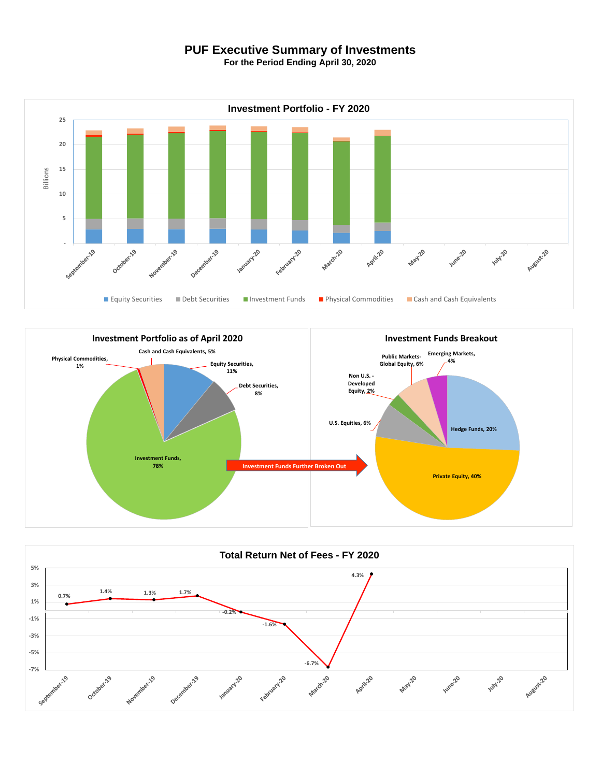## **PUF Executive Summary of Investments**

**For the Period Ending April 30, 2020**